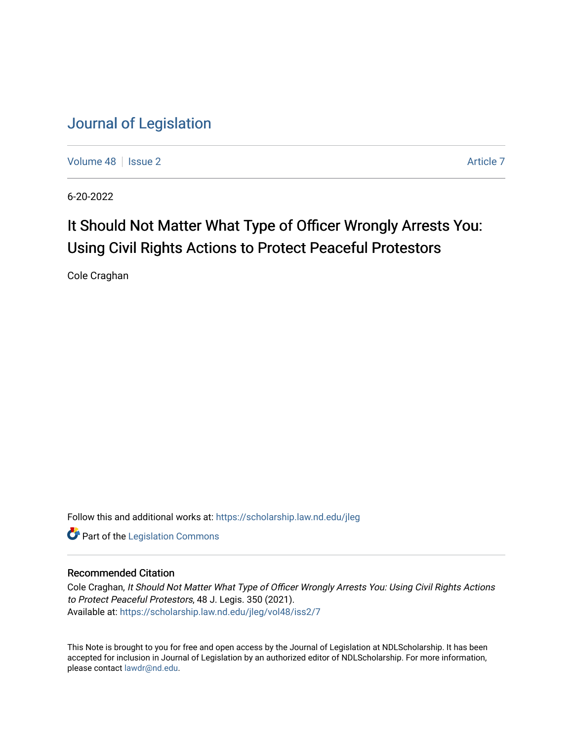[Volume 48](https://scholarship.law.nd.edu/jleg/vol48) | [Issue 2](https://scholarship.law.nd.edu/jleg/vol48/iss2) [Article 7](https://scholarship.law.nd.edu/jleg/vol48/iss2/7) Article 7 Article 7 Article 7 Article 7 Article 7 Article 7

6-20-2022

# It Should Not Matter What Type of Officer Wrongly Arrests You: Using Civil Rights Actions to Protect Peaceful Protestors

Cole Craghan

Follow this and additional works at: [https://scholarship.law.nd.edu/jleg](https://scholarship.law.nd.edu/jleg?utm_source=scholarship.law.nd.edu%2Fjleg%2Fvol48%2Fiss2%2F7&utm_medium=PDF&utm_campaign=PDFCoverPages) 

**Part of the [Legislation Commons](https://network.bepress.com/hgg/discipline/859?utm_source=scholarship.law.nd.edu%2Fjleg%2Fvol48%2Fiss2%2F7&utm_medium=PDF&utm_campaign=PDFCoverPages)** 

# Recommended Citation

Cole Craghan, It Should Not Matter What Type of Officer Wrongly Arrests You: Using Civil Rights Actions to Protect Peaceful Protestors, 48 J. Legis. 350 (2021). Available at: [https://scholarship.law.nd.edu/jleg/vol48/iss2/7](https://scholarship.law.nd.edu/jleg/vol48/iss2/7?utm_source=scholarship.law.nd.edu%2Fjleg%2Fvol48%2Fiss2%2F7&utm_medium=PDF&utm_campaign=PDFCoverPages) 

This Note is brought to you for free and open access by the Journal of Legislation at NDLScholarship. It has been accepted for inclusion in Journal of Legislation by an authorized editor of NDLScholarship. For more information, please contact [lawdr@nd.edu](mailto:lawdr@nd.edu).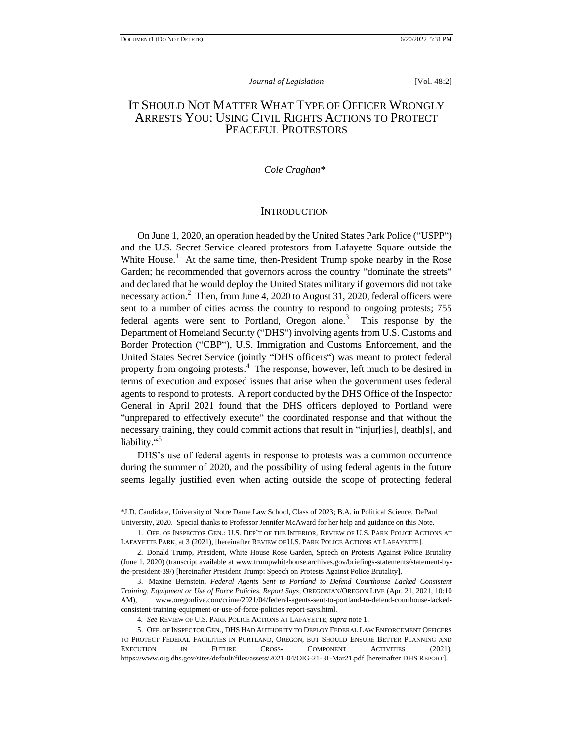# IT SHOULD NOT MATTER WHAT TYPE OF OFFICER WRONGLY ARRESTS YOU: USING CIVIL RIGHTS ACTIONS TO PROTECT PEACEFUL PROTESTORS

### *Cole Craghan\**

#### **INTRODUCTION**

On June 1, 2020, an operation headed by the United States Park Police ("USPP") and the U.S. Secret Service cleared protestors from Lafayette Square outside the White House.<sup>1</sup> At the same time, then-President Trump spoke nearby in the Rose Garden; he recommended that governors across the country "dominate the streets" and declared that he would deploy the United States military if governors did not take necessary action.<sup>2</sup> Then, from June 4, 2020 to August 31, 2020, federal officers were sent to a number of cities across the country to respond to ongoing protests; 755 federal agents were sent to Portland, Oregon alone.<sup>3</sup> This response by the Department of Homeland Security ("DHS") involving agents from U.S. Customs and Border Protection ("CBP"), U.S. Immigration and Customs Enforcement, and the United States Secret Service (jointly "DHS officers") was meant to protect federal property from ongoing protests.<sup>4</sup> The response, however, left much to be desired in terms of execution and exposed issues that arise when the government uses federal agents to respond to protests. A report conducted by the DHS Office of the Inspector General in April 2021 found that the DHS officers deployed to Portland were "unprepared to effectively execute" the coordinated response and that without the necessary training, they could commit actions that result in "injur[ies], death[s], and liability."

DHS's use of federal agents in response to protests was a common occurrence during the summer of 2020, and the possibility of using federal agents in the future seems legally justified even when acting outside the scope of protecting federal

<sup>\*</sup>J.D. Candidate, University of Notre Dame Law School, Class of 2023; B.A. in Political Science, DePaul University, 2020. Special thanks to Professor Jennifer McAward for her help and guidance on this Note.

<sup>1.</sup> OFF. OF INSPECTOR GEN.: U.S. DEP'T OF THE INTERIOR, REVIEW OF U.S. PARK POLICE ACTIONS AT LAFAYETTE PARK, at 3 (2021), [hereinafter REVIEW OF U.S. PARK POLICE ACTIONS AT LAFAYETTE].

<sup>2.</sup> Donald Trump, President, White House Rose Garden, Speech on Protests Against Police Brutality (June 1, 2020) (transcript available at www.trumpwhitehouse.archives.gov/briefings-statements/statement-bythe-president-39/) [hereinafter President Trump: Speech on Protests Against Police Brutality].

<sup>3.</sup> Maxine Bernstein, *Federal Agents Sent to Portland to Defend Courthouse Lacked Consistent Training, Equipment or Use of Force Policies, Report Says*, OREGONIAN/OREGON LIVE (Apr. 21, 2021, 10:10 AM), www.oregonlive.com/crime/2021/04/federal-agents-sent-to-portland-to-defend-courthouse-lackedconsistent-training-equipment-or-use-of-force-policies-report-says.html.

<sup>4</sup>*. See* REVIEW OF U.S. PARK POLICE ACTIONS AT LAFAYETTE, *supra* note 1.

<sup>5.</sup> OFF. OF INSPECTOR GEN., DHS HAD AUTHORITY TO DEPLOY FEDERAL LAW ENFORCEMENT OFFICERS TO PROTECT FEDERAL FACILITIES IN PORTLAND, OREGON, BUT SHOULD ENSURE BETTER PLANNING AND EXECUTION IN FUTURE CROSS- COMPONENT ACTIVITIES (2021), <https://www.oig.dhs.gov/sites/default/files/assets/2021-04/OIG-21-31-Mar21.pdf> [hereinafter DHS REPORT].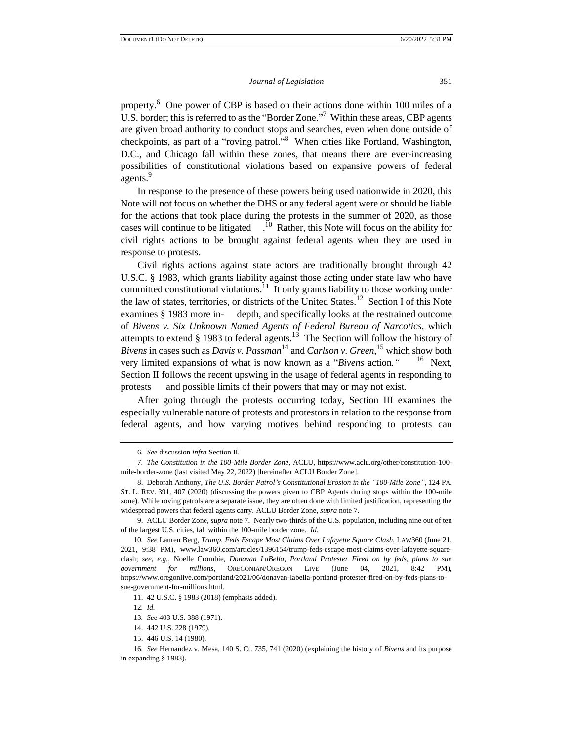property.<sup>6</sup> One power of CBP is based on their actions done within 100 miles of a U.S. border; this is referred to as the "Border Zone."<sup>7</sup> Within these areas, CBP agents are given broad authority to conduct stops and searches, even when done outside of checkpoints, as part of a "roving patrol."<sup>8</sup> When cities like Portland, Washington, D.C., and Chicago fall within these zones, that means there are ever-increasing possibilities of constitutional violations based on expansive powers of federal agents.<sup>9</sup>

In response to the presence of these powers being used nationwide in 2020, this Note will not focus on whether the DHS or any federal agent were or should be liable for the actions that took place during the protests in the summer of 2020, as those cases will continue to be litigated  $\frac{10}{10}$  Rather, this Note will focus on the ability for civil rights actions to be brought against federal agents when they are used in response to protests.

Civil rights actions against state actors are traditionally brought through 42 U.S.C. § 1983, which grants liability against those acting under state law who have committed constitutional violations. $11$  It only grants liability to those working under the law of states, territories, or districts of the United States.<sup>12</sup> Section I of this Note examines § 1983 more in- depth, and specifically looks at the restrained outcome of *Bivens v. Six Unknown Named Agents of Federal Bureau of Narcotics*, which attempts to extend  $\S$  1983 to federal agents.<sup>13</sup> The Section will follow the history of *Bivens* in cases such as *Davis v. Passman*<sup>14</sup> and *Carlson v. Green*, <sup>15</sup> which show both very limited expansions of what is now known as a "*Bivens* action*."* 16 Next, Section II follows the recent upswing in the usage of federal agents in responding to protests and possible limits of their powers that may or may not exist.

After going through the protests occurring today, Section III examines the especially vulnerable nature of protests and protestors in relation to the response from federal agents, and how varying motives behind responding to protests can

12*. Id.*

<sup>6</sup>*. See* discussion *infra* Section II.

<sup>7</sup>*. The Constitution in the 100-Mile Border Zone*, ACLU, https://www.aclu.org/other/constitution-100 mile-border-zone (last visited May 22, 2022) [hereinafter ACLU Border Zone].

<sup>8.</sup> Deborah Anthony, *The U.S. Border Patrol's Constitutional Erosion in the "100-Mile Zone"*, 124 PA. ST. L. REV. 391, 407 (2020) (discussing the powers given to CBP Agents during stops within the 100-mile zone). While roving patrols are a separate issue, they are often done with limited justification, representing the widespread powers that federal agents carry. ACLU Border Zone, *supra* note 7.

<sup>9.</sup> ACLU Border Zone, *supra* note 7. Nearly two-thirds of the U.S. population, including nine out of ten of the largest U.S. cities, fall within the 100-mile border zone. *Id.*

<sup>10</sup>*. See* Lauren Berg, *Trump, Feds Escape Most Claims Over Lafayette Square Clash*, LAW360 (June 21, 2021, 9:38 PM), www.law360.com/articles/1396154/trump-feds-escape-most-claims-over-lafayette-squareclash; *see, e.g.*, Noelle Crombie, *Donavan LaBella, Portland Protester Fired on by feds, plans to sue government for millions*, OREGONIAN/OREGON LIVE (June 04, 2021, 8:42 PM), https://www.oregonlive.com/portland/2021/06/donavan-labella-portland-protester-fired-on-by-feds-plans-tosue-government-for-millions.html.

<sup>11.</sup> 42 U.S.C. § 1983 (2018) (emphasis added).

<sup>13</sup>*. See* 403 U.S. 388 (1971).

<sup>14.</sup> 442 U.S. 228 (1979).

<sup>15.</sup> 446 U.S. 14 (1980).

<sup>16</sup>*. See* Hernandez v. Mesa, 140 S. Ct. 735, 741 (2020) (explaining the history of *Bivens* and its purpose in expanding § 1983).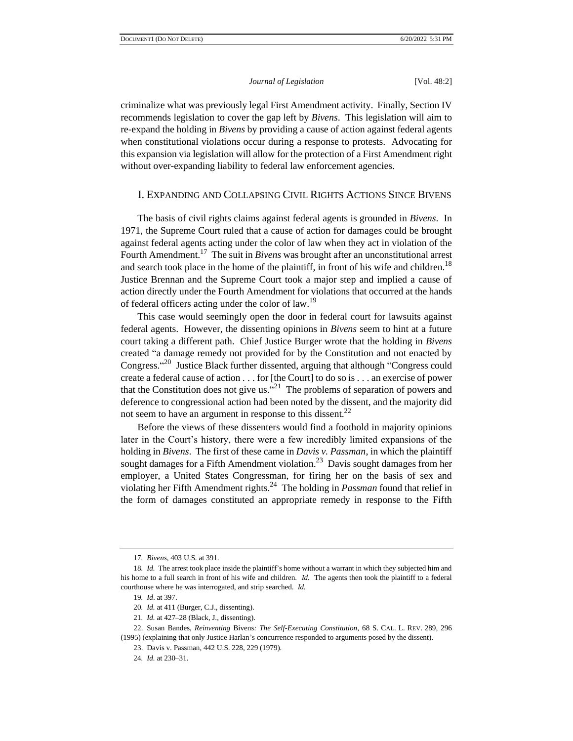criminalize what was previously legal First Amendment activity. Finally, Section IV recommends legislation to cover the gap left by *Bivens*. This legislation will aim to re-expand the holding in *Bivens* by providing a cause of action against federal agents when constitutional violations occur during a response to protests. Advocating for this expansion via legislation will allow for the protection of a First Amendment right without over-expanding liability to federal law enforcement agencies.

# I. EXPANDING AND COLLAPSING CIVIL RIGHTS ACTIONS SINCE BIVENS

The basis of civil rights claims against federal agents is grounded in *Bivens*. In 1971, the Supreme Court ruled that a cause of action for damages could be brought against federal agents acting under the color of law when they act in violation of the Fourth Amendment.<sup>17</sup> The suit in *Bivens* was brought after an unconstitutional arrest and search took place in the home of the plaintiff, in front of his wife and children.<sup>18</sup> Justice Brennan and the Supreme Court took a major step and implied a cause of action directly under the Fourth Amendment for violations that occurred at the hands of federal officers acting under the color of law.<sup>19</sup>

This case would seemingly open the door in federal court for lawsuits against federal agents. However, the dissenting opinions in *Bivens* seem to hint at a future court taking a different path. Chief Justice Burger wrote that the holding in *Bivens* created "a damage remedy not provided for by the Constitution and not enacted by Congress."<sup>20</sup> Justice Black further dissented, arguing that although "Congress could create a federal cause of action . . . for [the Court] to do so is . . . an exercise of power that the Constitution does not give us. $421$  The problems of separation of powers and deference to congressional action had been noted by the dissent, and the majority did not seem to have an argument in response to this dissent.<sup>22</sup>

Before the views of these dissenters would find a foothold in majority opinions later in the Court's history, there were a few incredibly limited expansions of the holding in *Bivens*. The first of these came in *Davis v. Passman*, in which the plaintiff sought damages for a Fifth Amendment violation.<sup>23</sup> Davis sought damages from her employer, a United States Congressman, for firing her on the basis of sex and violating her Fifth Amendment rights.<sup>24</sup> The holding in *Passman* found that relief in the form of damages constituted an appropriate remedy in response to the Fifth

<sup>17</sup>*. Bivens*, 403 U.S. at 391.

<sup>18</sup>*. Id.* The arrest took place inside the plaintiff's home without a warrant in which they subjected him and his home to a full search in front of his wife and children. *Id.* The agents then took the plaintiff to a federal courthouse where he was interrogated, and strip searched. *Id.*

<sup>19</sup>*. Id*. at 397.

<sup>20</sup>*. Id.* at 411 (Burger, C.J., dissenting).

<sup>21</sup>*. Id.* at 427–28 (Black, J., dissenting).

<sup>22.</sup> Susan Bandes, *Reinventing* Bivens*: The Self-Executing Constitution*, 68 S. CAL. L. REV. 289, 296 (1995) (explaining that only Justice Harlan's concurrence responded to arguments posed by the dissent).

<sup>23.</sup> Davis v. Passman, 442 U.S. 228, 229 (1979).

<sup>24</sup>*. Id.* at 230–31.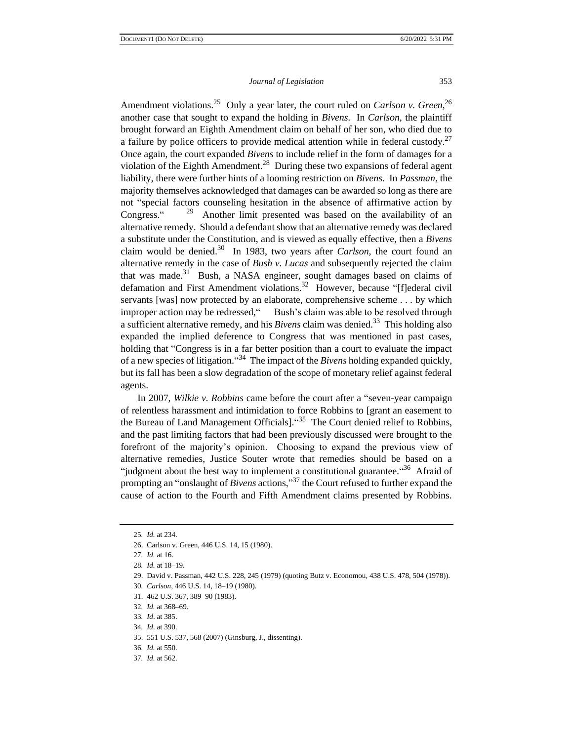Amendment violations.<sup>25</sup> Only a year later, the court ruled on *Carlson v. Green*,<sup>26</sup> another case that sought to expand the holding in *Bivens*. In *Carlson*, the plaintiff brought forward an Eighth Amendment claim on behalf of her son, who died due to a failure by police officers to provide medical attention while in federal custody.<sup>27</sup> Once again, the court expanded *Bivens* to include relief in the form of damages for a violation of the Eighth Amendment.<sup>28</sup> During these two expansions of federal agent liability, there were further hints of a looming restriction on *Bivens*. In *Passman*, the majority themselves acknowledged that damages can be awarded so long as there are not "special factors counseling hesitation in the absence of affirmative action by Congress." 29 Another limit presented was based on the availability of an alternative remedy. Should a defendant show that an alternative remedy was declared a substitute under the Constitution, and is viewed as equally effective, then a *Bivens* claim would be denied.<sup>30</sup> In 1983, two years after *Carlson*, the court found an alternative remedy in the case of *Bush v. Lucas* and subsequently rejected the claim that was made. $31$  Bush, a NASA engineer, sought damages based on claims of defamation and First Amendment violations.<sup>32</sup> However, because "[f]ederal civil servants [was] now protected by an elaborate, comprehensive scheme . . . by which improper action may be redressed," Bush's claim was able to be resolved through a sufficient alternative remedy, and his *Bivens* claim was denied.<sup>33</sup> This holding also expanded the implied deference to Congress that was mentioned in past cases, holding that "Congress is in a far better position than a court to evaluate the impact of a new species of litigation." 34 The impact of the *Bivens* holding expanded quickly, but its fall has been a slow degradation of the scope of monetary relief against federal agents.

In 2007, *Wilkie v. Robbins* came before the court after a "seven-year campaign of relentless harassment and intimidation to force Robbins to [grant an easement to the Bureau of Land Management Officials]. "<sup>35</sup> The Court denied relief to Robbins, and the past limiting factors that had been previously discussed were brought to the forefront of the majority's opinion. Choosing to expand the previous view of alternative remedies, Justice Souter wrote that remedies should be based on a "judgment about the best way to implement a constitutional guarantee."<sup>36</sup> Afraid of prompting an "onslaught of *Bivens* actions,"<sup>37</sup> the Court refused to further expand the cause of action to the Fourth and Fifth Amendment claims presented by Robbins.

30*. Carlson*, 446 U.S. 14, 18–19 (1980).

31. 462 U.S. 367, 389–90 (1983).

35. 551 U.S. 537, 568 (2007) (Ginsburg, J., dissenting).

<sup>25</sup>*. Id.* at 234.

<sup>26.</sup> Carlson v. Green, 446 U.S. 14, 15 (1980).

<sup>27</sup>*. Id.* at 16.

<sup>28</sup>*. Id.* at 18–19.

<sup>29.</sup> David v. Passman, 442 U.S. 228, 245 (1979) (quoting Butz v. Economou, 438 U.S. 478, 504 (1978)).

<sup>32</sup>*. Id.* at 368–69.

<sup>33</sup>*. Id*. at 385.

<sup>34</sup>*. Id*. at 390.

<sup>36</sup>*. Id.* at 550.

<sup>37</sup>*. Id.* at 562.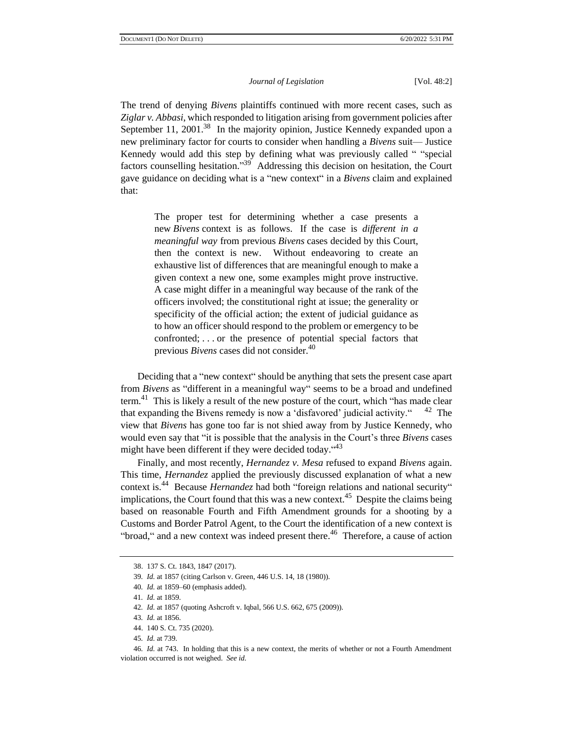The trend of denying *Bivens* plaintiffs continued with more recent cases, such as *Ziglar v. Abbasi*, which responded to litigation arising from government policies after September 11, 2001.<sup>38</sup> In the majority opinion, Justice Kennedy expanded upon a new preliminary factor for courts to consider when handling a *Bivens* suit— Justice Kennedy would add this step by defining what was previously called " "special factors counselling hesitation."<sup>39</sup> Addressing this decision on hesitation, the Court gave guidance on deciding what is a "new context" in a *Bivens* claim and explained that:

> The proper test for determining whether a case presents a new *Bivens* context is as follows. If the case is *different in a meaningful way* from previous *Bivens* cases decided by this Court, then the context is new. Without endeavoring to create an exhaustive list of differences that are meaningful enough to make a given context a new one, some examples might prove instructive. A case might differ in a meaningful way because of the rank of the officers involved; the constitutional right at issue; the generality or specificity of the official action; the extent of judicial guidance as to how an officer should respond to the problem or emergency to be confronted; . . . or the presence of potential special factors that previous *Bivens* cases did not consider.<sup>40</sup>

Deciding that a "new context" should be anything that sets the present case apart from *Bivens* as "different in a meaningful way" seems to be a broad and undefined term.<sup>41</sup> This is likely a result of the new posture of the court, which "has made clear that expanding the Bivens remedy is now a 'disfavored' judicial activity."  $42$  The view that *Bivens* has gone too far is not shied away from by Justice Kennedy, who would even say that "it is possible that the analysis in the Court's three *Bivens* cases might have been different if they were decided today."<sup>43</sup>

Finally, and most recently, *Hernandez v. Mesa* refused to expand *Bivens* again. This time, *Hernandez* applied the previously discussed explanation of what a new context is.<sup>44</sup> Because *Hernandez* had both "foreign relations and national security" implications, the Court found that this was a new context.<sup>45</sup> Despite the claims being based on reasonable Fourth and Fifth Amendment grounds for a shooting by a Customs and Border Patrol Agent, to the Court the identification of a new context is "broad," and a new context was indeed present there.<sup>46</sup> Therefore, a cause of action

<sup>38.</sup> 137 S. Ct. 1843, 1847 (2017).

<sup>39</sup>*. Id.* at 1857 (citing Carlson v. Green, 446 U.S. 14, 18 (1980)).

<sup>40</sup>*. Id.* at 1859–60 (emphasis added).

<sup>41</sup>*. Id.* at 1859.

<sup>42</sup>*. Id.* at 1857 (quoting Ashcroft v. Iqbal, 566 U.S. 662, 675 (2009)).

<sup>43</sup>*. Id.* at 1856.

<sup>44.</sup> 140 S. Ct. 735 (2020).

<sup>45</sup>*. Id.* at 739.

<sup>46</sup>*. Id.* at 743. In holding that this is a new context, the merits of whether or not a Fourth Amendment violation occurred is not weighed. *See id.*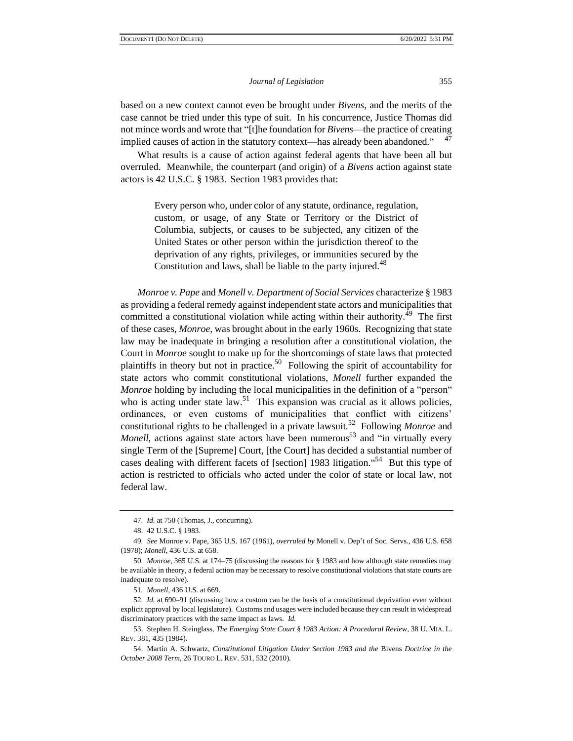based on a new context cannot even be brought under *Bivens*, and the merits of the case cannot be tried under this type of suit. In his concurrence, Justice Thomas did not mince words and wrote that "[t]he foundation for *Bivens*—the practice of creating implied causes of action in the statutory context—has already been abandoned." 47

What results is a cause of action against federal agents that have been all but overruled. Meanwhile, the counterpart (and origin) of a *Bivens* action against state actors is 42 U.S.C. § 1983. Section 1983 provides that:

> Every person who, under color of any statute, ordinance, regulation, custom, or usage, of any State or Territory or the District of Columbia, subjects, or causes to be subjected, any citizen of the United States or other person within the jurisdiction thereof to the deprivation of any rights, privileges, or immunities secured by the Constitution and laws, shall be liable to the party injured.<sup>48</sup>

*Monroe v. Pape* and *Monell v. Department of Social Services* characterize § 1983 as providing a federal remedy against independent state actors and municipalities that committed a constitutional violation while acting within their authority. $^{49}$  The first of these cases, *Monroe*, was brought about in the early 1960s. Recognizing that state law may be inadequate in bringing a resolution after a constitutional violation, the Court in *Monroe* sought to make up for the shortcomings of state laws that protected plaintiffs in theory but not in practice.<sup>50</sup> Following the spirit of accountability for state actors who commit constitutional violations, *Monell* further expanded the *Monroe* holding by including the local municipalities in the definition of a "person" who is acting under state  $law<sup>51</sup>$ . This expansion was crucial as it allows policies, ordinances, or even customs of municipalities that conflict with citizens' constitutional rights to be challenged in a private lawsuit.<sup>52</sup> Following *Monroe* and *Monell*, actions against state actors have been numerous<sup>53</sup> and "in virtually every single Term of the [Supreme] Court, [the Court] has decided a substantial number of cases dealing with different facets of [section] 1983 litigation. "<sup>54</sup> But this type of action is restricted to officials who acted under the color of state or local law, not federal law.

<sup>47</sup>*. Id.* at 750 (Thomas, J., concurring).

<sup>48.</sup> 42 U.S.C. § 1983.

<sup>49</sup>*. See* Monroe v. Pape, 365 U.S. 167 (1961), *overruled by* Monell v. Dep't of Soc. Servs., 436 U.S. 658 (1978); *Monell*, 436 U.S. at 658.

<sup>50</sup>*. Monroe*, 365 U.S. at 174–75 (discussing the reasons for § 1983 and how although state remedies may be available in theory, a federal action may be necessary to resolve constitutional violations that state courts are inadequate to resolve).

<sup>51</sup>*. Monell*, 436 U.S. at 669.

<sup>52</sup>*. Id.* at 690–91 (discussing how a custom can be the basis of a constitutional deprivation even without explicit approval by local legislature). Customs and usages were included because they can result in widespread discriminatory practices with the same impact as laws. *Id.*

<sup>53.</sup> Stephen H. Steinglass, *The Emerging State Court § 1983 Action: A Procedural Review*, 38 U. MIA. L. REV. 381, 435 (1984).

<sup>54.</sup> Martin A. Schwartz, *Constitutional Litigation Under Section 1983 and the* Bivens *Doctrine in the October 2008 Term*, 26 TOURO L. REV. 531, 532 (2010).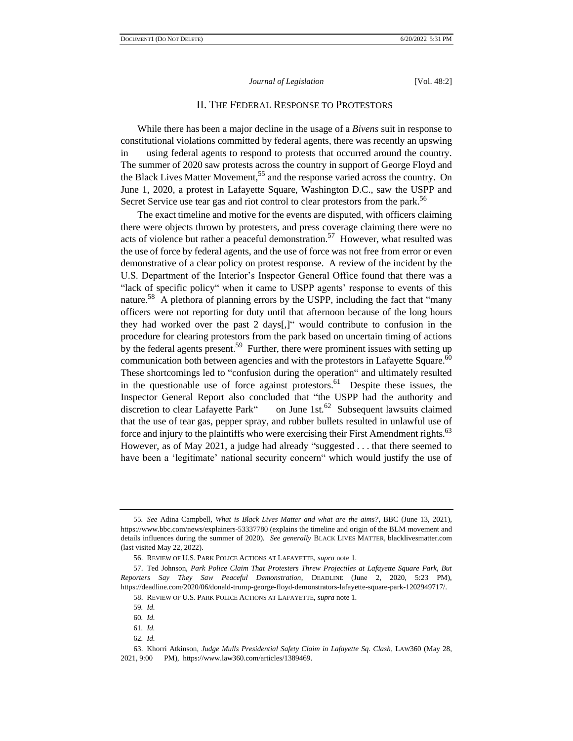# II. THE FEDERAL RESPONSE TO PROTESTORS

While there has been a major decline in the usage of a *Bivens* suit in response to constitutional violations committed by federal agents, there was recently an upswing in using federal agents to respond to protests that occurred around the country. The summer of 2020 saw protests across the country in support of George Floyd and the Black Lives Matter Movement,<sup>55</sup> and the response varied across the country. On June 1, 2020, a protest in Lafayette Square, Washington D.C., saw the USPP and Secret Service use tear gas and riot control to clear protestors from the park.<sup>56</sup>

The exact timeline and motive for the events are disputed, with officers claiming there were objects thrown by protesters, and press coverage claiming there were no acts of violence but rather a peaceful demonstration.<sup>57</sup> However, what resulted was the use of force by federal agents, and the use of force was not free from error or even demonstrative of a clear policy on protest response. A review of the incident by the U.S. Department of the Interior's Inspector General Office found that there was a "lack of specific policy" when it came to USPP agents' response to events of this nature.<sup>58</sup> A plethora of planning errors by the USPP, including the fact that "many officers were not reporting for duty until that afternoon because of the long hours they had worked over the past 2 days[,]" would contribute to confusion in the procedure for clearing protestors from the park based on uncertain timing of actions by the federal agents present.<sup>59</sup> Further, there were prominent issues with setting up communication both between agencies and with the protestors in Lafayette Square. $^{60}$ These shortcomings led to "confusion during the operation" and ultimately resulted in the questionable use of force against protestors. <sup>61</sup> Despite these issues, the Inspector General Report also concluded that "the USPP had the authority and discretion to clear Lafayette Park" on June 1st. $62$  Subsequent lawsuits claimed that the use of tear gas, pepper spray, and rubber bullets resulted in unlawful use of force and injury to the plaintiffs who were exercising their First Amendment rights. $^{63}$ However, as of May 2021, a judge had already "suggested . . . that there seemed to have been a 'legitimate' national security concern" which would justify the use of

<sup>55</sup>*. See* Adina Campbell, *What is Black Lives Matter and what are the aims?*, BBC (June 13, 2021), https://www.bbc.com/news/explainers-53337780 (explains the timeline and origin of the BLM movement and details influences during the summer of 2020). *See generally* BLACK LIVES MATTER, blacklivesmatter.com (last visited May 22, 2022).

<sup>56.</sup> REVIEW OF U.S. PARK POLICE ACTIONS AT LAFAYETTE, *supra* note 1.

<sup>57.</sup> Ted Johnson, *Park Police Claim That Protesters Threw Projectiles at Lafayette Square Park, But Reporters Say They Saw Peaceful Demonstration*, DEADLINE (June 2, 2020, 5:23 PM), https://deadline.com/2020/06/donald-trump-george-floyd-demonstrators-lafayette-square-park-1202949717/.

<sup>58.</sup> REVIEW OF U.S. PARK POLICE ACTIONS AT LAFAYETTE, *supra* note 1.

<sup>59</sup>*. Id.*

<sup>60</sup>*. Id.*

<sup>61</sup>*. Id.*

<sup>62</sup>*. Id.*

<sup>63.</sup> Khorri Atkinson, *Judge Mulls Presidential Safety Claim in Lafayette Sq. Clash*, LAW360 (May 28, 2021, 9:00 PM), https://www.law360.com/articles/1389469.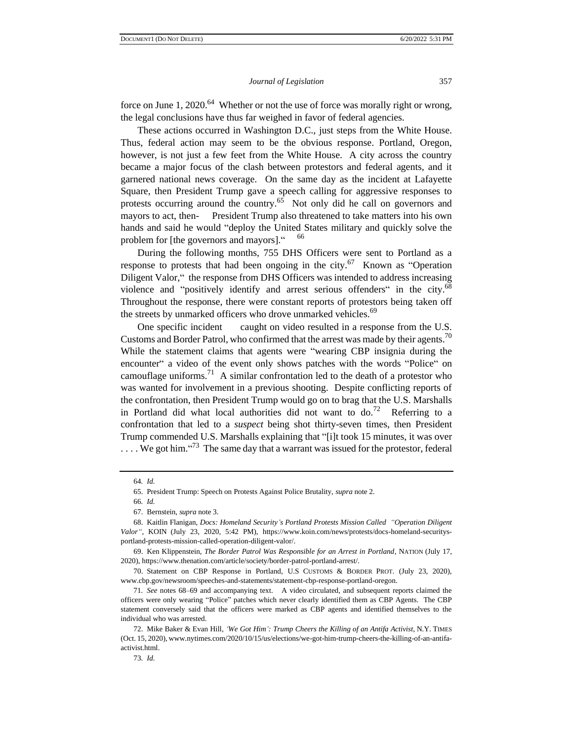force on June 1, 2020.<sup>64</sup> Whether or not the use of force was morally right or wrong, the legal conclusions have thus far weighed in favor of federal agencies.

These actions occurred in Washington D.C., just steps from the White House. Thus, federal action may seem to be the obvious response. Portland, Oregon, however, is not just a few feet from the White House. A city across the country became a major focus of the clash between protestors and federal agents, and it garnered national news coverage. On the same day as the incident at Lafayette Square, then President Trump gave a speech calling for aggressive responses to protests occurring around the country. $65$  Not only did he call on governors and mayors to act, then- President Trump also threatened to take matters into his own hands and said he would "deploy the United States military and quickly solve the problem for [the governors and mayors]." 66

During the following months, 755 DHS Officers were sent to Portland as a response to protests that had been ongoing in the city.<sup>67</sup> Known as "Operation" Diligent Valor," the response from DHS Officers was intended to address increasing violence and "positively identify and arrest serious offenders" in the city.<sup>68</sup> Throughout the response, there were constant reports of protestors being taken off the streets by unmarked officers who drove unmarked vehicles.<sup>69</sup>

One specific incident caught on video resulted in a response from the U.S. Customs and Border Patrol, who confirmed that the arrest was made by their agents.<sup>70</sup> While the statement claims that agents were "wearing CBP insignia during the encounter" a video of the event only shows patches with the words "Police" on camouflage uniforms.<sup>71</sup> A similar confrontation led to the death of a protestor who was wanted for involvement in a previous shooting. Despite conflicting reports of the confrontation, then President Trump would go on to brag that the U.S. Marshalls in Portland did what local authorities did not want to  $d\sigma^{72}$  Referring to a confrontation that led to a *suspect* being shot thirty-seven times, then President Trump commended U.S. Marshalls explaining that "[i]t took 15 minutes, it was over  $\ldots$  We got him.  $\cdot^{73}$  The same day that a warrant was issued for the protestor, federal

<sup>64</sup>*. Id.*

<sup>65.</sup> President Trump: Speech on Protests Against Police Brutality, *supra* note 2.

<sup>66</sup>*. Id.*

<sup>67.</sup> Bernstein, *supra* note 3.

<sup>68.</sup> Kaitlin Flanigan, *Docs: Homeland Security's Portland Protests Mission Called "Operation Diligent Valor"*, KOIN (July 23, 2020, 5:42 PM), https://www.koin.com/news/protests/docs-homeland-securitysportland-protests-mission-called-operation-diligent-valor/.

<sup>69.</sup> Ken Klippenstein, *The Border Patrol Was Responsible for an Arrest in Portland*, NATION (July 17, 2020), https://www.thenation.com/article/society/border-patrol-portland-arrest/.

<sup>70.</sup> Statement on CBP Response in Portland, U.S CUSTOMS & BORDER PROT. (July 23, 2020), www.cbp.gov/newsroom/speeches-and-statements/statement-cbp-response-portland-oregon.

<sup>71</sup>*. See* notes 68–69 and accompanying text. A video circulated, and subsequent reports claimed the officers were only wearing "Police" patches which never clearly identified them as CBP Agents. The CBP statement conversely said that the officers were marked as CBP agents and identified themselves to the individual who was arrested.

<sup>72.</sup> Mike Baker & Evan Hill, *'We Got Him': Trump Cheers the Killing of an Antifa Activist*, N.Y. TIMES (Oct. 15, 2020), www.nytimes.com/2020/10/15/us/elections/we-got-him-trump-cheers-the-killing-of-an-antifaactivist.html.

<sup>73</sup>*. Id.*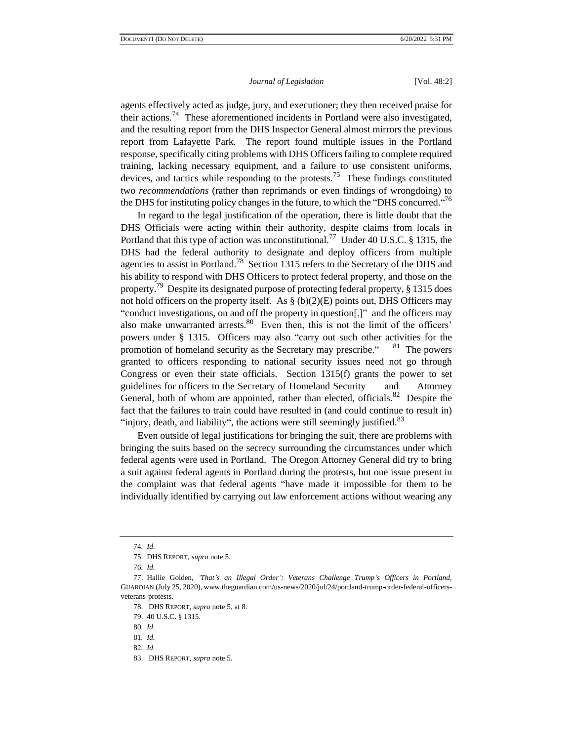agents effectively acted as judge, jury, and executioner; they then received praise for their actions.<sup>74</sup> These aforementioned incidents in Portland were also investigated, and the resulting report from the DHS Inspector General almost mirrors the previous report from Lafayette Park. The report found multiple issues in the Portland response, specifically citing problems with DHS Officers failing to complete required training, lacking necessary equipment, and a failure to use consistent uniforms, devices, and tactics while responding to the protests.<sup>75</sup> These findings constituted two *recommendations* (rather than reprimands or even findings of wrongdoing) to the DHS for instituting policy changes in the future, to which the "DHS concurred."<sup>76</sup>

In regard to the legal justification of the operation, there is little doubt that the DHS Officials were acting within their authority, despite claims from locals in Portland that this type of action was unconstitutional.<sup>77</sup> Under 40 U.S.C. § 1315, the DHS had the federal authority to designate and deploy officers from multiple agencies to assist in Portland.<sup>78</sup> Section 1315 refers to the Secretary of the DHS and his ability to respond with DHS Officers to protect federal property, and those on the property.<sup>79</sup> Despite its designated purpose of protecting federal property, § 1315 does not hold officers on the property itself. As  $\S$  (b)(2)(E) points out, DHS Officers may "conduct investigations, on and off the property in question[,]" and the officers may also make unwarranted arrests.<sup>80</sup> Even then, this is not the limit of the officers' powers under § 1315. Officers may also "carry out such other activities for the promotion of homeland security as the Secretary may prescribe.  $81$  The powers granted to officers responding to national security issues need not go through Congress or even their state officials. Section 1315(f) grants the power to set guidelines for officers to the Secretary of Homeland Security and Attorney General, both of whom are appointed, rather than elected, officials.  $82$  Despite the fact that the failures to train could have resulted in (and could continue to result in) "injury, death, and liability", the actions were still seemingly justified. $83$ 

Even outside of legal justifications for bringing the suit, there are problems with bringing the suits based on the secrecy surrounding the circumstances under which federal agents were used in Portland. The Oregon Attorney General did try to bring a suit against federal agents in Portland during the protests, but one issue present in the complaint was that federal agents "have made it impossible for them to be individually identified by carrying out law enforcement actions without wearing any

<sup>74</sup>*. Id.*

<sup>75.</sup> DHS REPORT, *supra* note 5.

<sup>76</sup>*. Id.*

<sup>77.</sup> Hallie Golden, *'That's an Illegal Order': Veterans Challenge Trump's Officers in Portland*, GUARDIAN (July 25, 2020), www.theguardian.com/us-news/2020/jul/24/portland-trump-order-federal-officersveterans-protests.

<sup>78.</sup> DHS REPORT, *supra* note 5, at 8.

<sup>79.</sup> 40 U.S.C. § 1315.

<sup>80</sup>*. Id.* 

<sup>81</sup>*. Id.*

<sup>82</sup>*. Id.* 

<sup>83.</sup> DHS REPORT, *supra* note 5.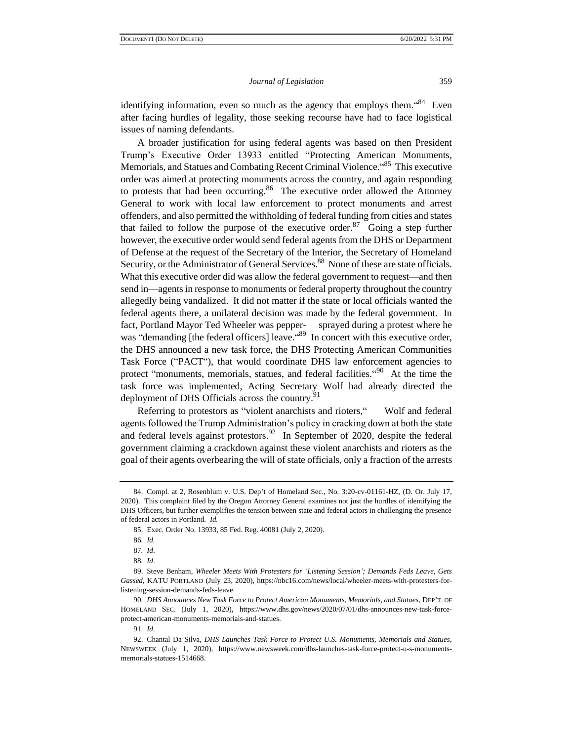identifying information, even so much as the agency that employs them. "<sup>84</sup> Even after facing hurdles of legality, those seeking recourse have had to face logistical issues of naming defendants.

A broader justification for using federal agents was based on then President Trump's Executive Order 13933 entitled "Protecting American Monuments, Memorials, and Statues and Combating Recent Criminal Violence. "<sup>85</sup> This executive order was aimed at protecting monuments across the country, and again responding to protests that had been occurring.  $86$  The executive order allowed the Attorney General to work with local law enforcement to protect monuments and arrest offenders, and also permitted the withholding of federal funding from cities and states that failed to follow the purpose of the executive order.<sup>87</sup> Going a step further however, the executive order would send federal agents from the DHS or Department of Defense at the request of the Secretary of the Interior, the Secretary of Homeland Security, or the Administrator of General Services.<sup>88</sup> None of these are state officials. What this executive order did was allow the federal government to request—and then send in—agents in response to monuments or federal property throughout the country allegedly being vandalized. It did not matter if the state or local officials wanted the federal agents there, a unilateral decision was made by the federal government. In fact, Portland Mayor Ted Wheeler was pepper- sprayed during a protest where he was "demanding [the federal officers] leave."<sup>89</sup> In concert with this executive order, the DHS announced a new task force, the DHS Protecting American Communities Task Force ("PACT"), that would coordinate DHS law enforcement agencies to protect "monuments, memorials, statues, and federal facilities."<sup>90</sup> At the time the task force was implemented, Acting Secretary Wolf had already directed the deployment of DHS Officials across the country.<sup>91</sup>

Referring to protestors as "violent anarchists and rioters," Wolf and federal agents followed the Trump Administration's policy in cracking down at both the state and federal levels against protestors.<sup>92</sup> In September of 2020, despite the federal government claiming a crackdown against these violent anarchists and rioters as the goal of their agents overbearing the will of state officials, only a fraction of the arrests

<sup>84.</sup> Compl. at 2, Rosenblum v. U.S. Dep't of Homeland Sec., No. 3:20-cv-01161-HZ, (D. Or. July 17, 2020). This complaint filed by the Oregon Attorney General examines not just the hurdles of identifying the DHS Officers, but further exemplifies the tension between state and federal actors in challenging the presence of federal actors in Portland. *Id.* 

<sup>85.</sup> Exec. Order No. 13933, 85 Fed. Reg. 40081 (July 2, 2020).

<sup>86</sup>*. Id.*

<sup>87</sup>*. Id*.

<sup>88</sup>*. Id*.

<sup>89.</sup> Steve Benham, *Wheeler Meets With Protesters for 'Listening Session'; Demands Feds Leave, Gets Gassed*, KATU PORTLAND (July 23, 2020), https://nbc16.com/news/local/wheeler-meets-with-protesters-forlistening-session-demands-feds-leave.

<sup>90</sup>*. DHS Announces New Task Force to Protect American Monuments, Memorials, and Statues*, DEP'T. OF HOMELAND SEC. (July 1, 2020), https://www.dhs.gov/news/2020/07/01/dhs-announces-new-task-forceprotect-american-monuments-memorials-and-statues.

<sup>91</sup>*. Id*.

<sup>92.</sup> Chantal Da Silva, *DHS Launches Task Force to Protect U.S. Monuments, Memorials and Statues*, NEWSWEEK (July 1, 2020), https://www.newsweek.com/dhs-launches-task-force-protect-u-s-monumentsmemorials-statues-1514668.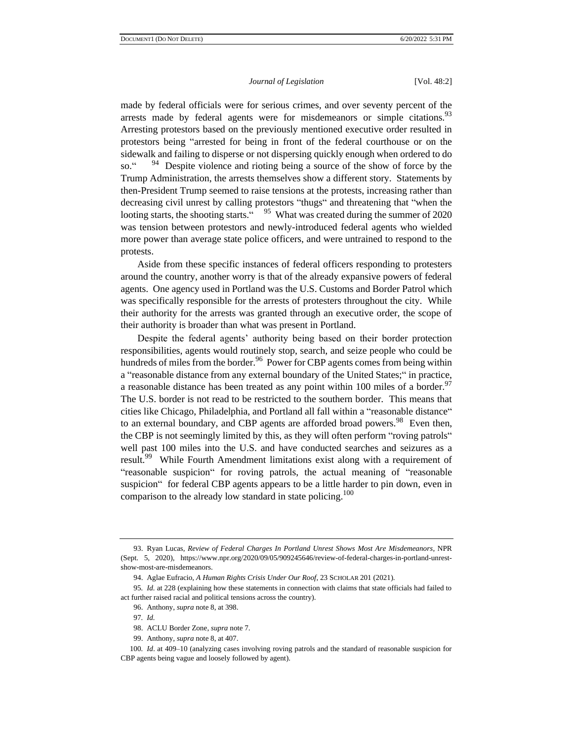made by federal officials were for serious crimes, and over seventy percent of the arrests made by federal agents were for misdemeanors or simple citations.<sup>93</sup> Arresting protestors based on the previously mentioned executive order resulted in protestors being "arrested for being in front of the federal courthouse or on the sidewalk and failing to disperse or not dispersing quickly enough when ordered to do so." <sup>94</sup> Despite violence and rioting being a source of the show of force by the Trump Administration, the arrests themselves show a different story. Statements by then-President Trump seemed to raise tensions at the protests, increasing rather than decreasing civil unrest by calling protestors "thugs" and threatening that "when the looting starts, the shooting starts." <sup>95</sup> What was created during the summer of 2020 was tension between protestors and newly-introduced federal agents who wielded more power than average state police officers, and were untrained to respond to the protests.

Aside from these specific instances of federal officers responding to protesters around the country, another worry is that of the already expansive powers of federal agents. One agency used in Portland was the U.S. Customs and Border Patrol which was specifically responsible for the arrests of protesters throughout the city. While their authority for the arrests was granted through an executive order, the scope of their authority is broader than what was present in Portland.

Despite the federal agents' authority being based on their border protection responsibilities, agents would routinely stop, search, and seize people who could be hundreds of miles from the border.<sup>96</sup> Power for CBP agents comes from being within a "reasonable distance from any external boundary of the United States;" in practice, a reasonable distance has been treated as any point within 100 miles of a border.<sup>97</sup> The U.S. border is not read to be restricted to the southern border. This means that cities like Chicago, Philadelphia, and Portland all fall within a "reasonable distance" to an external boundary, and CBP agents are afforded broad powers.<sup>98</sup> Even then, the CBP is not seemingly limited by this, as they will often perform "roving patrols" well past 100 miles into the U.S. and have conducted searches and seizures as a result.<sup>99</sup> While Fourth Amendment limitations exist along with a requirement of "reasonable suspicion" for roving patrols, the actual meaning of "reasonable suspicion" for federal CBP agents appears to be a little harder to pin down, even in comparison to the already low standard in state policing.<sup>100</sup>

<sup>93.</sup> Ryan Lucas, *Review of Federal Charges In Portland Unrest Shows Most Are Misdemeanors*, NPR (Sept. 5, 2020), https://www.npr.org/2020/09/05/909245646/review-of-federal-charges-in-portland-unrestshow-most-are-misdemeanors.

<sup>94.</sup> Aglae Eufracio, *A Human Rights Crisis Under Our Roof*, 23 SCHOLAR 201 (2021).

<sup>95</sup>*. Id.* at 228 (explaining how these statements in connection with claims that state officials had failed to act further raised racial and political tensions across the country).

<sup>96.</sup> Anthony, *supra* note 8, at 398.

<sup>97</sup>*. Id.*

<sup>98.</sup> ACLU Border Zone, *supra* note 7.

<sup>99.</sup> Anthony, *supra* note 8, at 407.

<sup>100</sup>*. Id*. at 409–10 (analyzing cases involving roving patrols and the standard of reasonable suspicion for CBP agents being vague and loosely followed by agent).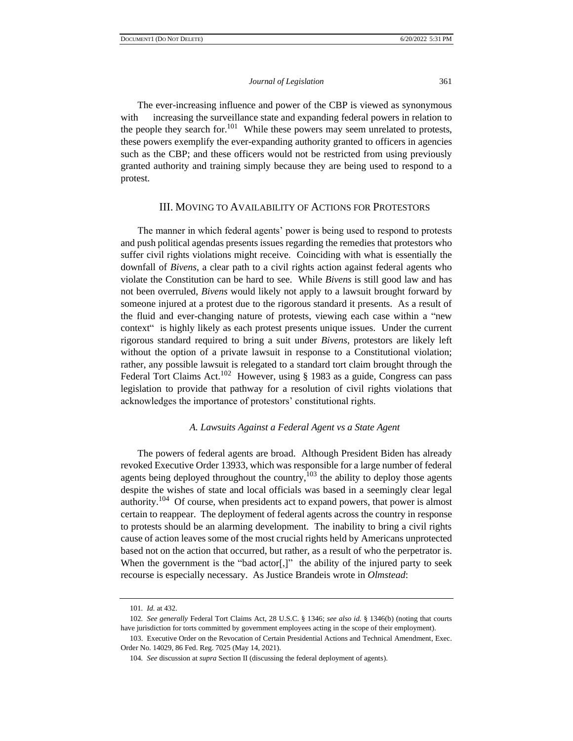The ever-increasing influence and power of the CBP is viewed as synonymous with increasing the surveillance state and expanding federal powers in relation to the people they search for.<sup>101</sup> While these powers may seem unrelated to protests, these powers exemplify the ever-expanding authority granted to officers in agencies such as the CBP; and these officers would not be restricted from using previously granted authority and training simply because they are being used to respond to a protest.

#### III. MOVING TO AVAILABILITY OF ACTIONS FOR PROTESTORS

The manner in which federal agents' power is being used to respond to protests and push political agendas presents issues regarding the remedies that protestors who suffer civil rights violations might receive. Coinciding with what is essentially the downfall of *Bivens*, a clear path to a civil rights action against federal agents who violate the Constitution can be hard to see. While *Bivens* is still good law and has not been overruled, *Bivens* would likely not apply to a lawsuit brought forward by someone injured at a protest due to the rigorous standard it presents. As a result of the fluid and ever-changing nature of protests, viewing each case within a "new context" is highly likely as each protest presents unique issues. Under the current rigorous standard required to bring a suit under *Bivens*, protestors are likely left without the option of a private lawsuit in response to a Constitutional violation; rather, any possible lawsuit is relegated to a standard tort claim brought through the Federal Tort Claims Act.<sup>102</sup> However, using § 1983 as a guide, Congress can pass legislation to provide that pathway for a resolution of civil rights violations that acknowledges the importance of protestors' constitutional rights.

### *A. Lawsuits Against a Federal Agent vs a State Agent*

The powers of federal agents are broad. Although President Biden has already revoked Executive Order 13933, which was responsible for a large number of federal agents being deployed throughout the country, $103$  the ability to deploy those agents despite the wishes of state and local officials was based in a seemingly clear legal authority.<sup>104</sup> Of course, when presidents act to expand powers, that power is almost certain to reappear. The deployment of federal agents across the country in response to protests should be an alarming development. The inability to bring a civil rights cause of action leaves some of the most crucial rights held by Americans unprotected based not on the action that occurred, but rather, as a result of who the perpetrator is. When the government is the "bad actor[,]" the ability of the injured party to seek recourse is especially necessary. As Justice Brandeis wrote in *Olmstead*:

<sup>101</sup>*. Id.* at 432.

<sup>102</sup>*. See generally* Federal Tort Claims Act, 28 U.S.C. § 1346; *see also id.* § 1346(b) (noting that courts have jurisdiction for torts committed by government employees acting in the scope of their employment).

<sup>103.</sup> Executive Order on the Revocation of Certain Presidential Actions and Technical Amendment, Exec. Order No. 14029, 86 Fed. Reg. 7025 (May 14, 2021).

<sup>104</sup>*. See* discussion at *supra* Section II (discussing the federal deployment of agents).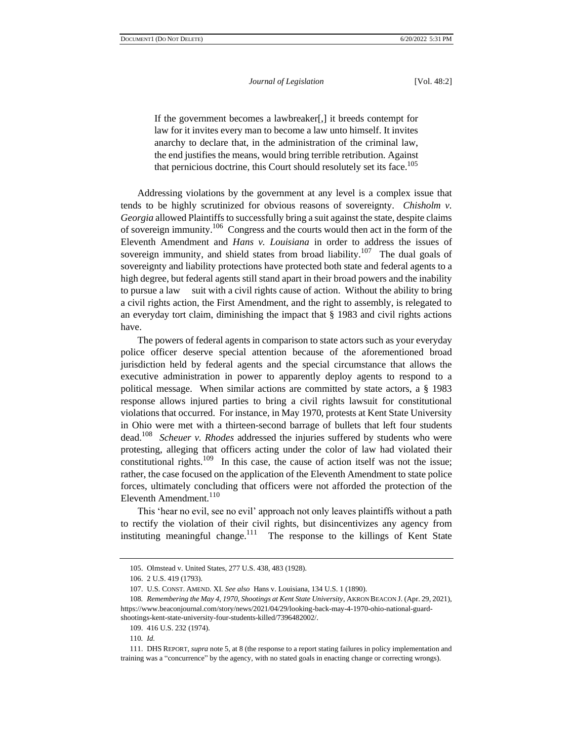If the government becomes a lawbreaker[,] it breeds contempt for law for it invites every man to become a law unto himself. It invites anarchy to declare that, in the administration of the criminal law, the end justifies the means, would bring terrible retribution. Against that pernicious doctrine, this Court should resolutely set its face.<sup>105</sup>

Addressing violations by the government at any level is a complex issue that tends to be highly scrutinized for obvious reasons of sovereignty. *Chisholm v. Georgia* allowed Plaintiffs to successfully bring a suit against the state, despite claims of sovereign immunity.<sup>106</sup> Congress and the courts would then act in the form of the Eleventh Amendment and *Hans v. Louisiana* in order to address the issues of sovereign immunity, and shield states from broad liability.<sup>107</sup> The dual goals of sovereignty and liability protections have protected both state and federal agents to a high degree, but federal agents still stand apart in their broad powers and the inability to pursue a law suit with a civil rights cause of action. Without the ability to bring a civil rights action, the First Amendment, and the right to assembly, is relegated to an everyday tort claim, diminishing the impact that  $\S$  1983 and civil rights actions have.

The powers of federal agents in comparison to state actors such as your everyday police officer deserve special attention because of the aforementioned broad jurisdiction held by federal agents and the special circumstance that allows the executive administration in power to apparently deploy agents to respond to a political message. When similar actions are committed by state actors, a § 1983 response allows injured parties to bring a civil rights lawsuit for constitutional violations that occurred. For instance, in May 1970, protests at Kent State University in Ohio were met with a thirteen-second barrage of bullets that left four students dead.<sup>108</sup> *Scheuer v. Rhodes* addressed the injuries suffered by students who were protesting, alleging that officers acting under the color of law had violated their constitutional rights.<sup>109</sup> In this case, the cause of action itself was not the issue; rather, the case focused on the application of the Eleventh Amendment to state police forces, ultimately concluding that officers were not afforded the protection of the Eleventh Amendment.<sup>110</sup>

This 'hear no evil, see no evil' approach not only leaves plaintiffs without a path to rectify the violation of their civil rights, but disincentivizes any agency from instituting meaningful change.<sup>111</sup> The response to the killings of Kent State

<sup>105.</sup> Olmstead v. United States, 277 U.S. 438, 483 (1928).

<sup>106.</sup> 2 U.S. 419 (1793).

<sup>107.</sup> U.S. CONST. AMEND. XI. *See also* Hans v. Louisiana, 134 U.S. 1 (1890).

<sup>108</sup>*. Remembering the May 4, 1970, Shootings at Kent State University*, AKRON BEACON J. (Apr. 29, 2021), https://www.beaconjournal.com/story/news/2021/04/29/looking-back-may-4-1970-ohio-national-guardshootings-kent-state-university-four-students-killed/7396482002/.

<sup>109.</sup> 416 U.S. 232 (1974).

<sup>110</sup>*. Id.*

<sup>111.</sup> DHS REPORT, *supra* note 5, at 8 (the response to a report stating failures in policy implementation and training was a "concurrence" by the agency, with no stated goals in enacting change or correcting wrongs).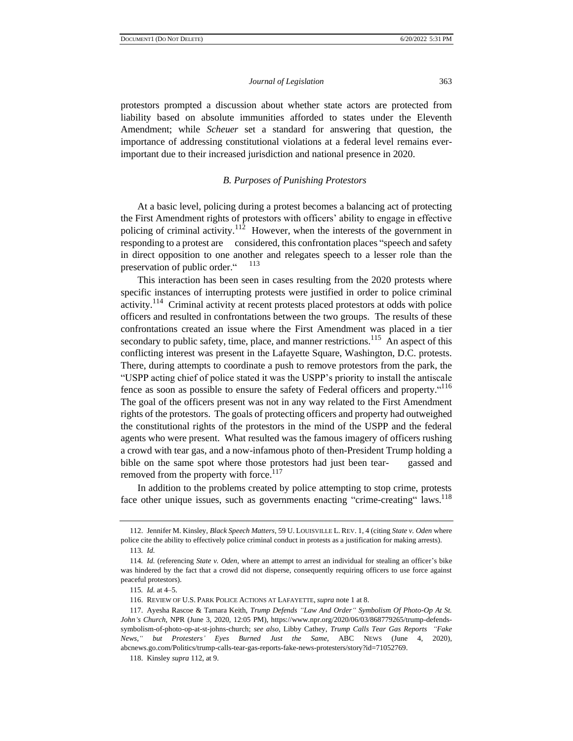protestors prompted a discussion about whether state actors are protected from liability based on absolute immunities afforded to states under the Eleventh Amendment; while *Scheuer* set a standard for answering that question, the importance of addressing constitutional violations at a federal level remains everimportant due to their increased jurisdiction and national presence in 2020.

# *B. Purposes of Punishing Protestors*

At a basic level, policing during a protest becomes a balancing act of protecting the First Amendment rights of protestors with officers' ability to engage in effective policing of criminal activity.<sup>112</sup> However, when the interests of the government in responding to a protest are considered, this confrontation places "speech and safety in direct opposition to one another and relegates speech to a lesser role than the preservation of public order." 113

This interaction has been seen in cases resulting from the 2020 protests where specific instances of interrupting protests were justified in order to police criminal activity.<sup>114</sup> Criminal activity at recent protests placed protestors at odds with police officers and resulted in confrontations between the two groups. The results of these confrontations created an issue where the First Amendment was placed in a tier secondary to public safety, time, place, and manner restrictions.<sup>115</sup> An aspect of this conflicting interest was present in the Lafayette Square, Washington, D.C. protests. There, during attempts to coordinate a push to remove protestors from the park, the "USPP acting chief of police stated it was the USPP's priority to install the antiscale fence as soon as possible to ensure the safety of Federal officers and property.<sup>"116</sup> The goal of the officers present was not in any way related to the First Amendment rights of the protestors. The goals of protecting officers and property had outweighed the constitutional rights of the protestors in the mind of the USPP and the federal agents who were present. What resulted was the famous imagery of officers rushing a crowd with tear gas, and a now-infamous photo of then-President Trump holding a bible on the same spot where those protestors had just been tear- gassed and removed from the property with force.<sup>117</sup>

In addition to the problems created by police attempting to stop crime, protests face other unique issues, such as governments enacting "crime-creating" laws.<sup>118</sup>

<sup>112.</sup> Jennifer M. Kinsley, *Black Speech Matters*, 59 U. LOUISVILLE L. REV. 1, 4 (citing *State v. Oden* where police cite the ability to effectively police criminal conduct in protests as a justification for making arrests). 113*. Id.*

<sup>114</sup>*. Id.* (referencing *State v. Oden*, where an attempt to arrest an individual for stealing an officer's bike was hindered by the fact that a crowd did not disperse, consequently requiring officers to use force against peaceful protestors).

<sup>115</sup>*. Id.* at 4–5.

<sup>116.</sup> REVIEW OF U.S. PARK POLICE ACTIONS AT LAFAYETTE, *supra* note 1 at 8.

<sup>117.</sup> Ayesha Rascoe & Tamara Keith, *Trump Defends "Law And Order" Symbolism Of Photo-Op At St. John's Church*, NPR (June 3, 2020, 12:05 PM), https://www.npr.org/2020/06/03/868779265/trump-defendssymbolism-of-photo-op-at-st-johns-church; *see also*, Libby Cathey, *Trump Calls Tear Gas Reports "Fake News," but Protesters' Eyes Burned Just the Same*, ABC NEWS (June 4, 2020), abcnews.go.com/Politics/trump-calls-tear-gas-reports-fake-news-protesters/story?id=71052769.

<sup>118.</sup> Kinsley *supra* 112, at 9.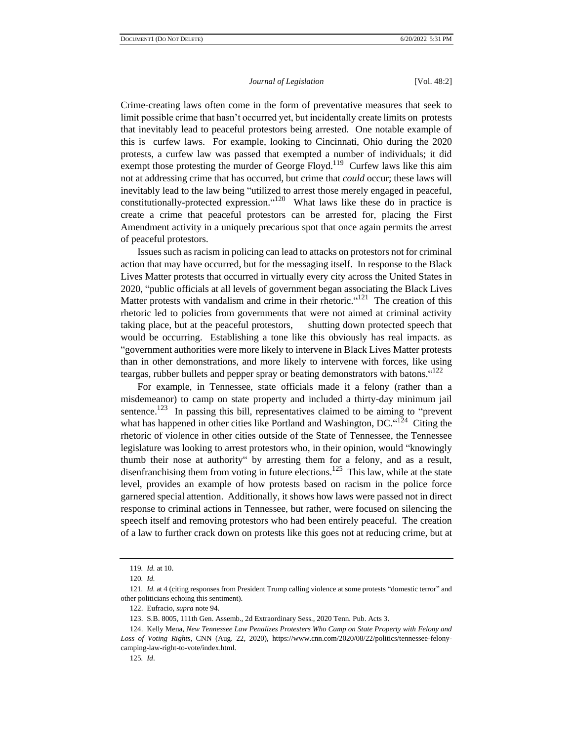Crime-creating laws often come in the form of preventative measures that seek to limit possible crime that hasn't occurred yet, but incidentally create limits on protests that inevitably lead to peaceful protestors being arrested. One notable example of this is curfew laws. For example, looking to Cincinnati, Ohio during the 2020 protests, a curfew law was passed that exempted a number of individuals; it did exempt those protesting the murder of George Floyd.<sup>119</sup> Curfew laws like this aim not at addressing crime that has occurred, but crime that *could* occur; these laws will inevitably lead to the law being "utilized to arrest those merely engaged in peaceful, constitutionally-protected expression.  $\frac{x^{120}}{120}$  What laws like these do in practice is create a crime that peaceful protestors can be arrested for, placing the First Amendment activity in a uniquely precarious spot that once again permits the arrest of peaceful protestors.

Issues such as racism in policing can lead to attacks on protestors not for criminal action that may have occurred, but for the messaging itself. In response to the Black Lives Matter protests that occurred in virtually every city across the United States in 2020, "public officials at all levels of government began associating the Black Lives Matter protests with vandalism and crime in their rhetoric."<sup>121</sup> The creation of this rhetoric led to policies from governments that were not aimed at criminal activity taking place, but at the peaceful protestors, shutting down protected speech that would be occurring. Establishing a tone like this obviously has real impacts. as "government authorities were more likely to intervene in Black Lives Matter protests than in other demonstrations, and more likely to intervene with forces, like using teargas, rubber bullets and pepper spray or beating demonstrators with batons."<sup>122</sup>

For example, in Tennessee, state officials made it a felony (rather than a misdemeanor) to camp on state property and included a thirty-day minimum jail sentence.<sup>123</sup> In passing this bill, representatives claimed to be aiming to "prevent" what has happened in other cities like Portland and Washington,  $DC$ . "<sup>124</sup> Citing the rhetoric of violence in other cities outside of the State of Tennessee, the Tennessee legislature was looking to arrest protestors who, in their opinion, would "knowingly thumb their nose at authority" by arresting them for a felony, and as a result, disenfranchising them from voting in future elections.<sup>125</sup> This law, while at the state level, provides an example of how protests based on racism in the police force garnered special attention. Additionally, it shows how laws were passed not in direct response to criminal actions in Tennessee, but rather, were focused on silencing the speech itself and removing protestors who had been entirely peaceful. The creation of a law to further crack down on protests like this goes not at reducing crime, but at

<sup>119</sup>*. Id.* at 10.

<sup>120</sup>*. Id.*

<sup>121</sup>*. Id.* at 4 (citing responses from President Trump calling violence at some protests "domestic terror" and other politicians echoing this sentiment).

<sup>122.</sup> Eufracio, *supra* note 94.

<sup>123.</sup> S.B. 8005, 111th Gen. Assemb., 2d Extraordinary Sess., 2020 Tenn. Pub. Acts 3.

<sup>124.</sup> Kelly Mena, *New Tennessee Law Penalizes Protesters Who Camp on State Property with Felony and Loss of Voting Rights*, CNN (Aug. 22, 2020), https://www.cnn.com/2020/08/22/politics/tennessee-felonycamping-law-right-to-vote/index.html.

<sup>125</sup>*. Id*.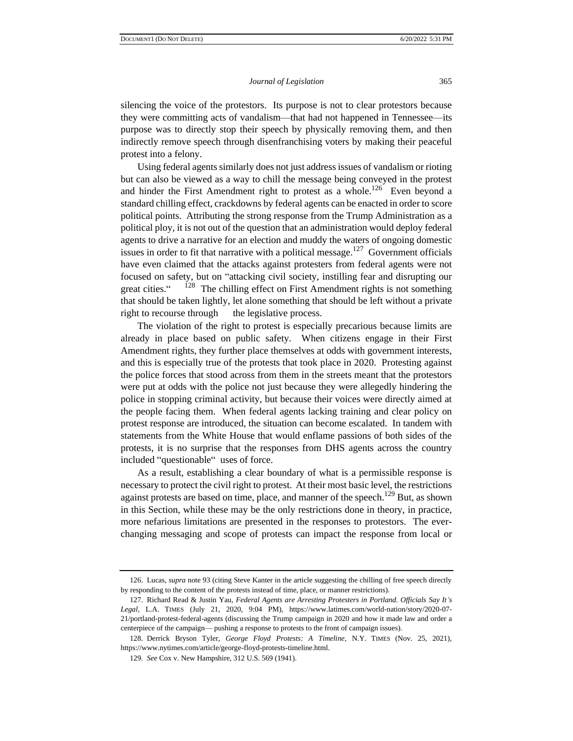silencing the voice of the protestors. Its purpose is not to clear protestors because they were committing acts of vandalism—that had not happened in Tennessee—its purpose was to directly stop their speech by physically removing them, and then indirectly remove speech through disenfranchising voters by making their peaceful protest into a felony.

Using federal agents similarly does not just address issues of vandalism or rioting but can also be viewed as a way to chill the message being conveyed in the protest and hinder the First Amendment right to protest as a whole.<sup>126</sup> Even beyond a standard chilling effect, crackdowns by federal agents can be enacted in order to score political points. Attributing the strong response from the Trump Administration as a political ploy, it is not out of the question that an administration would deploy federal agents to drive a narrative for an election and muddy the waters of ongoing domestic issues in order to fit that narrative with a political message.<sup>127</sup> Government officials have even claimed that the attacks against protesters from federal agents were not focused on safety, but on "attacking civil society, instilling fear and disrupting our great cities." <sup>128</sup> The chilling effect on First Amendment rights is not something that should be taken lightly, let alone something that should be left without a private right to recourse through the legislative process.

The violation of the right to protest is especially precarious because limits are already in place based on public safety. When citizens engage in their First Amendment rights, they further place themselves at odds with government interests, and this is especially true of the protests that took place in 2020. Protesting against the police forces that stood across from them in the streets meant that the protestors were put at odds with the police not just because they were allegedly hindering the police in stopping criminal activity, but because their voices were directly aimed at the people facing them. When federal agents lacking training and clear policy on protest response are introduced, the situation can become escalated. In tandem with statements from the White House that would enflame passions of both sides of the protests, it is no surprise that the responses from DHS agents across the country included "questionable" uses of force.

As a result, establishing a clear boundary of what is a permissible response is necessary to protect the civil right to protest. At their most basic level, the restrictions against protests are based on time, place, and manner of the speech.<sup>129</sup> But, as shown in this Section, while these may be the only restrictions done in theory, in practice, more nefarious limitations are presented in the responses to protestors. The everchanging messaging and scope of protests can impact the response from local or

<sup>126.</sup> Lucas, *supra* note 93 (citing Steve Kanter in the article suggesting the chilling of free speech directly by responding to the content of the protests instead of time, place, or manner restrictions).

<sup>127.</sup> Richard Read & Justin Yau, *Federal Agents are Arresting Protesters in Portland. Officials Say It's Legal*, L.A. TIMES (July 21, 2020, 9:04 PM), https://www.latimes.com/world-nation/story/2020-07- 21/portland-protest-federal-agents (discussing the Trump campaign in 2020 and how it made law and order a centerpiece of the campaign— pushing a response to protests to the front of campaign issues).

<sup>128.</sup> Derrick Bryson Tyler, *George Floyd Protests: A Timeline*, N.Y. TIMES (Nov. 25, 2021), https://www.nytimes.com/article/george-floyd-protests-timeline.html.

<sup>129</sup>*. See* Cox v. New Hampshire, 312 U.S. 569 (1941).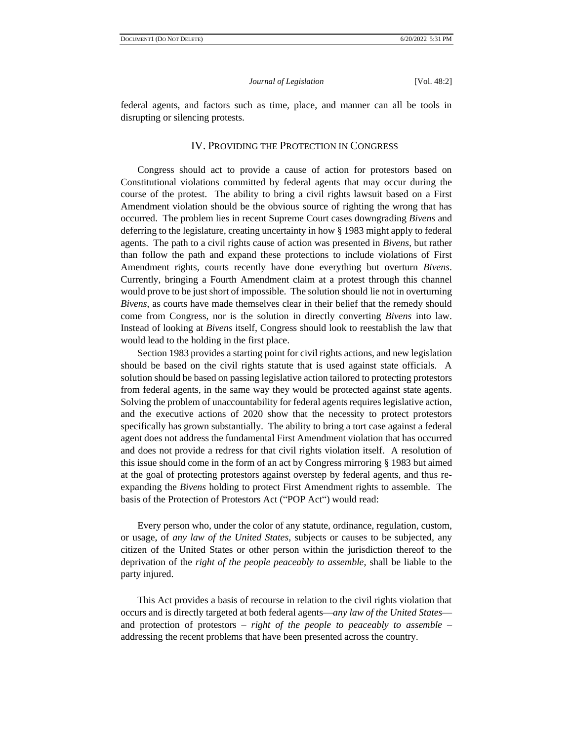federal agents, and factors such as time, place, and manner can all be tools in disrupting or silencing protests.

# IV. PROVIDING THE PROTECTION IN CONGRESS

Congress should act to provide a cause of action for protestors based on Constitutional violations committed by federal agents that may occur during the course of the protest. The ability to bring a civil rights lawsuit based on a First Amendment violation should be the obvious source of righting the wrong that has occurred. The problem lies in recent Supreme Court cases downgrading *Bivens* and deferring to the legislature, creating uncertainty in how § 1983 might apply to federal agents. The path to a civil rights cause of action was presented in *Bivens*, but rather than follow the path and expand these protections to include violations of First Amendment rights, courts recently have done everything but overturn *Bivens*. Currently, bringing a Fourth Amendment claim at a protest through this channel would prove to be just short of impossible. The solution should lie not in overturning *Bivens*, as courts have made themselves clear in their belief that the remedy should come from Congress, nor is the solution in directly converting *Bivens* into law. Instead of looking at *Bivens* itself, Congress should look to reestablish the law that would lead to the holding in the first place.

Section 1983 provides a starting point for civil rights actions, and new legislation should be based on the civil rights statute that is used against state officials. A solution should be based on passing legislative action tailored to protecting protestors from federal agents, in the same way they would be protected against state agents. Solving the problem of unaccountability for federal agents requires legislative action, and the executive actions of 2020 show that the necessity to protect protestors specifically has grown substantially. The ability to bring a tort case against a federal agent does not address the fundamental First Amendment violation that has occurred and does not provide a redress for that civil rights violation itself. A resolution of this issue should come in the form of an act by Congress mirroring § 1983 but aimed at the goal of protecting protestors against overstep by federal agents, and thus reexpanding the *Bivens* holding to protect First Amendment rights to assemble. The basis of the Protection of Protestors Act ("POP Act") would read:

Every person who, under the color of any statute, ordinance, regulation, custom, or usage, of *any law of the United States*, subjects or causes to be subjected, any citizen of the United States or other person within the jurisdiction thereof to the deprivation of the *right of the people peaceably to assemble*, shall be liable to the party injured.

This Act provides a basis of recourse in relation to the civil rights violation that occurs and is directly targeted at both federal agents—*any law of the United States* and protection of protestors – *right of the people to peaceably to assemble* – addressing the recent problems that have been presented across the country.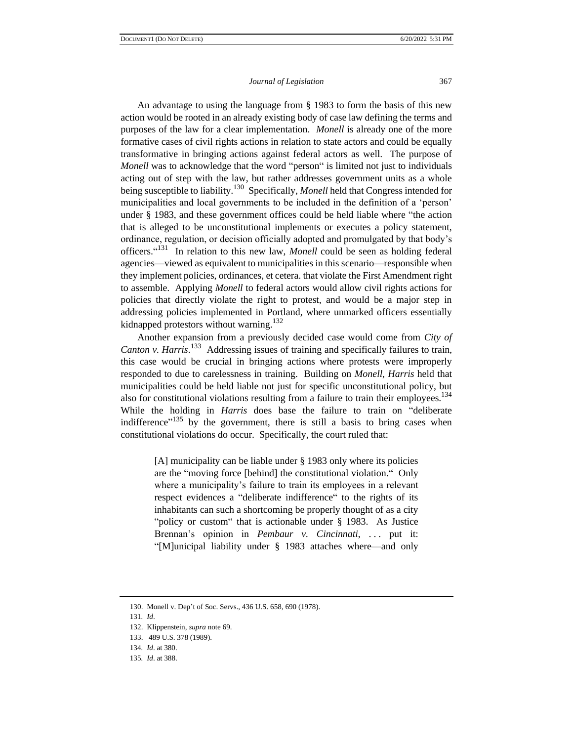An advantage to using the language from § 1983 to form the basis of this new action would be rooted in an already existing body of case law defining the terms and purposes of the law for a clear implementation. *Monell* is already one of the more formative cases of civil rights actions in relation to state actors and could be equally transformative in bringing actions against federal actors as well. The purpose of *Monell* was to acknowledge that the word "person" is limited not just to individuals acting out of step with the law, but rather addresses government units as a whole being susceptible to liability.<sup>130</sup> Specifically, *Monell* held that Congress intended for municipalities and local governments to be included in the definition of a 'person' under § 1983, and these government offices could be held liable where "the action that is alleged to be unconstitutional implements or executes a policy statement, ordinance, regulation, or decision officially adopted and promulgated by that body's officers.<sup>"131</sup> In relation to this new law, *Monell* could be seen as holding federal agencies—viewed as equivalent to municipalities in this scenario—responsible when they implement policies, ordinances, et cetera. that violate the First Amendment right to assemble. Applying *Monell* to federal actors would allow civil rights actions for policies that directly violate the right to protest, and would be a major step in addressing policies implemented in Portland, where unmarked officers essentially kidnapped protestors without warning.<sup>132</sup>

Another expansion from a previously decided case would come from *City of*  Canton v. Harris.<sup>133</sup> Addressing issues of training and specifically failures to train, this case would be crucial in bringing actions where protests were improperly responded to due to carelessness in training. Building on *Monell*, *Harris* held that municipalities could be held liable not just for specific unconstitutional policy, but also for constitutional violations resulting from a failure to train their employees.<sup>134</sup> While the holding in *Harris* does base the failure to train on "deliberate indifference<sup> $n^{135}$ </sup> by the government, there is still a basis to bring cases when constitutional violations do occur. Specifically, the court ruled that:

> [A] municipality can be liable under § 1983 only where its policies are the "moving force [behind] the constitutional violation." Only where a municipality's failure to train its employees in a relevant respect evidences a "deliberate indifference" to the rights of its inhabitants can such a shortcoming be properly thought of as a city "policy or custom" that is actionable under § 1983. As Justice Brennan's opinion in *Pembaur v. Cincinnati*, ... put it: "[M]unicipal liability under § 1983 attaches where—and only

<sup>130.</sup> Monell v. Dep't of Soc. Servs., 436 U.S. 658, 690 (1978).

<sup>131</sup>*. Id*.

<sup>132.</sup> Klippenstein, *supra* note 69.

<sup>133.</sup> 489 U.S. 378 (1989).

<sup>134</sup>*. Id*. at 380.

<sup>135</sup>*. Id*. at 388.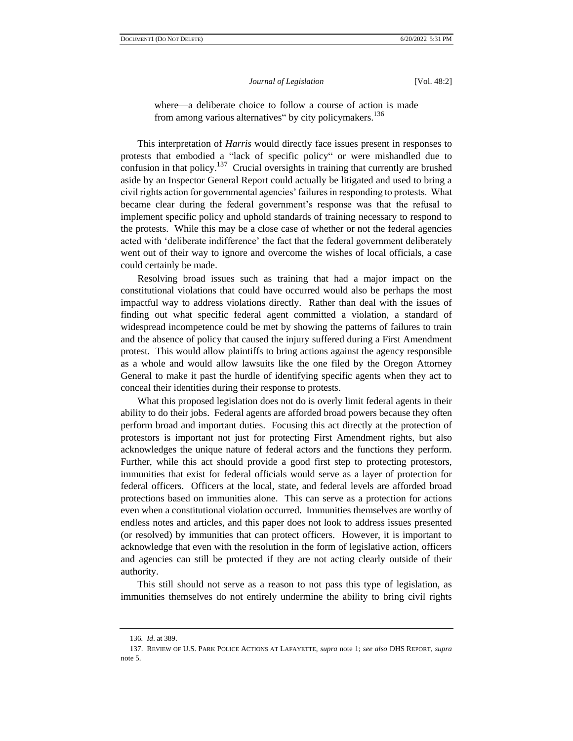where—a deliberate choice to follow a course of action is made from among various alternatives" by city policymakers.<sup>136</sup>

This interpretation of *Harris* would directly face issues present in responses to protests that embodied a "lack of specific policy" or were mishandled due to confusion in that policy.<sup>137</sup> Crucial oversights in training that currently are brushed aside by an Inspector General Report could actually be litigated and used to bring a civil rights action for governmental agencies' failures in responding to protests. What became clear during the federal government's response was that the refusal to implement specific policy and uphold standards of training necessary to respond to the protests. While this may be a close case of whether or not the federal agencies acted with 'deliberate indifference' the fact that the federal government deliberately went out of their way to ignore and overcome the wishes of local officials, a case could certainly be made.

Resolving broad issues such as training that had a major impact on the constitutional violations that could have occurred would also be perhaps the most impactful way to address violations directly. Rather than deal with the issues of finding out what specific federal agent committed a violation, a standard of widespread incompetence could be met by showing the patterns of failures to train and the absence of policy that caused the injury suffered during a First Amendment protest. This would allow plaintiffs to bring actions against the agency responsible as a whole and would allow lawsuits like the one filed by the Oregon Attorney General to make it past the hurdle of identifying specific agents when they act to conceal their identities during their response to protests.

What this proposed legislation does not do is overly limit federal agents in their ability to do their jobs. Federal agents are afforded broad powers because they often perform broad and important duties. Focusing this act directly at the protection of protestors is important not just for protecting First Amendment rights, but also acknowledges the unique nature of federal actors and the functions they perform. Further, while this act should provide a good first step to protecting protestors, immunities that exist for federal officials would serve as a layer of protection for federal officers. Officers at the local, state, and federal levels are afforded broad protections based on immunities alone. This can serve as a protection for actions even when a constitutional violation occurred. Immunities themselves are worthy of endless notes and articles, and this paper does not look to address issues presented (or resolved) by immunities that can protect officers. However, it is important to acknowledge that even with the resolution in the form of legislative action, officers and agencies can still be protected if they are not acting clearly outside of their authority.

This still should not serve as a reason to not pass this type of legislation, as immunities themselves do not entirely undermine the ability to bring civil rights

<sup>136</sup>*. Id*. at 389.

<sup>137.</sup> REVIEW OF U.S. PARK POLICE ACTIONS AT LAFAYETTE, *supra* note 1; *see also* DHS REPORT, *supra* note 5.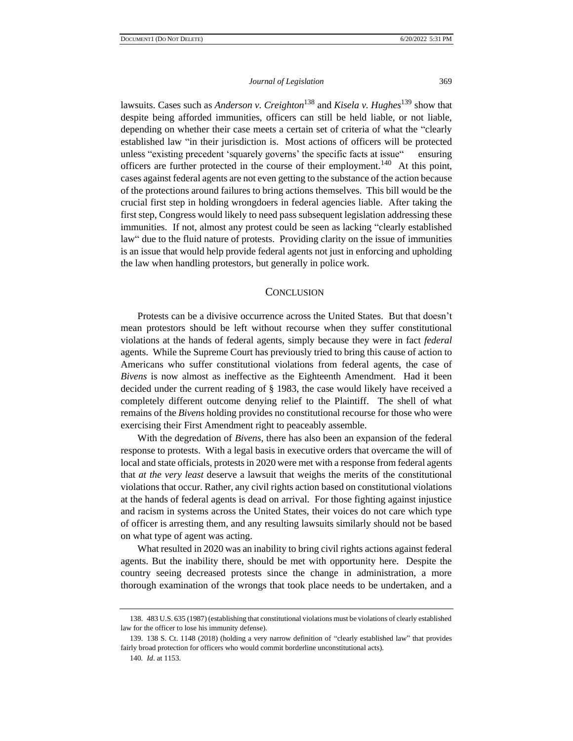lawsuits. Cases such as *Anderson v. Creighton*<sup>138</sup> and *Kisela v. Hughes*<sup>139</sup> show that despite being afforded immunities, officers can still be held liable, or not liable, depending on whether their case meets a certain set of criteria of what the "clearly established law "in their jurisdiction is. Most actions of officers will be protected unless "existing precedent 'squarely governs' the specific facts at issue" ensuring officers are further protected in the course of their employment.<sup>140</sup> At this point, cases against federal agents are not even getting to the substance of the action because of the protections around failures to bring actions themselves. This bill would be the crucial first step in holding wrongdoers in federal agencies liable. After taking the first step, Congress would likely to need pass subsequent legislation addressing these immunities. If not, almost any protest could be seen as lacking "clearly established law" due to the fluid nature of protests. Providing clarity on the issue of immunities is an issue that would help provide federal agents not just in enforcing and upholding the law when handling protestors, but generally in police work.

# **CONCLUSION**

Protests can be a divisive occurrence across the United States. But that doesn't mean protestors should be left without recourse when they suffer constitutional violations at the hands of federal agents, simply because they were in fact *federal* agents. While the Supreme Court has previously tried to bring this cause of action to Americans who suffer constitutional violations from federal agents, the case of *Bivens* is now almost as ineffective as the Eighteenth Amendment. Had it been decided under the current reading of § 1983, the case would likely have received a completely different outcome denying relief to the Plaintiff. The shell of what remains of the *Bivens* holding provides no constitutional recourse for those who were exercising their First Amendment right to peaceably assemble.

With the degredation of *Bivens*, there has also been an expansion of the federal response to protests. With a legal basis in executive orders that overcame the will of local and state officials, protests in 2020 were met with a response from federal agents that *at the very least* deserve a lawsuit that weighs the merits of the constitutional violations that occur. Rather, any civil rights action based on constitutional violations at the hands of federal agents is dead on arrival. For those fighting against injustice and racism in systems across the United States, their voices do not care which type of officer is arresting them, and any resulting lawsuits similarly should not be based on what type of agent was acting.

What resulted in 2020 was an inability to bring civil rights actions against federal agents. But the inability there, should be met with opportunity here. Despite the country seeing decreased protests since the change in administration, a more thorough examination of the wrongs that took place needs to be undertaken, and a

<sup>138.</sup> 483 U.S. 635 (1987) (establishing that constitutional violations must be violations of clearly established law for the officer to lose his immunity defense).

<sup>139.</sup> 138 S. Ct. 1148 (2018) (holding a very narrow definition of "clearly established law" that provides fairly broad protection for officers who would commit borderline unconstitutional acts).

<sup>140</sup>*. Id*. at 1153.